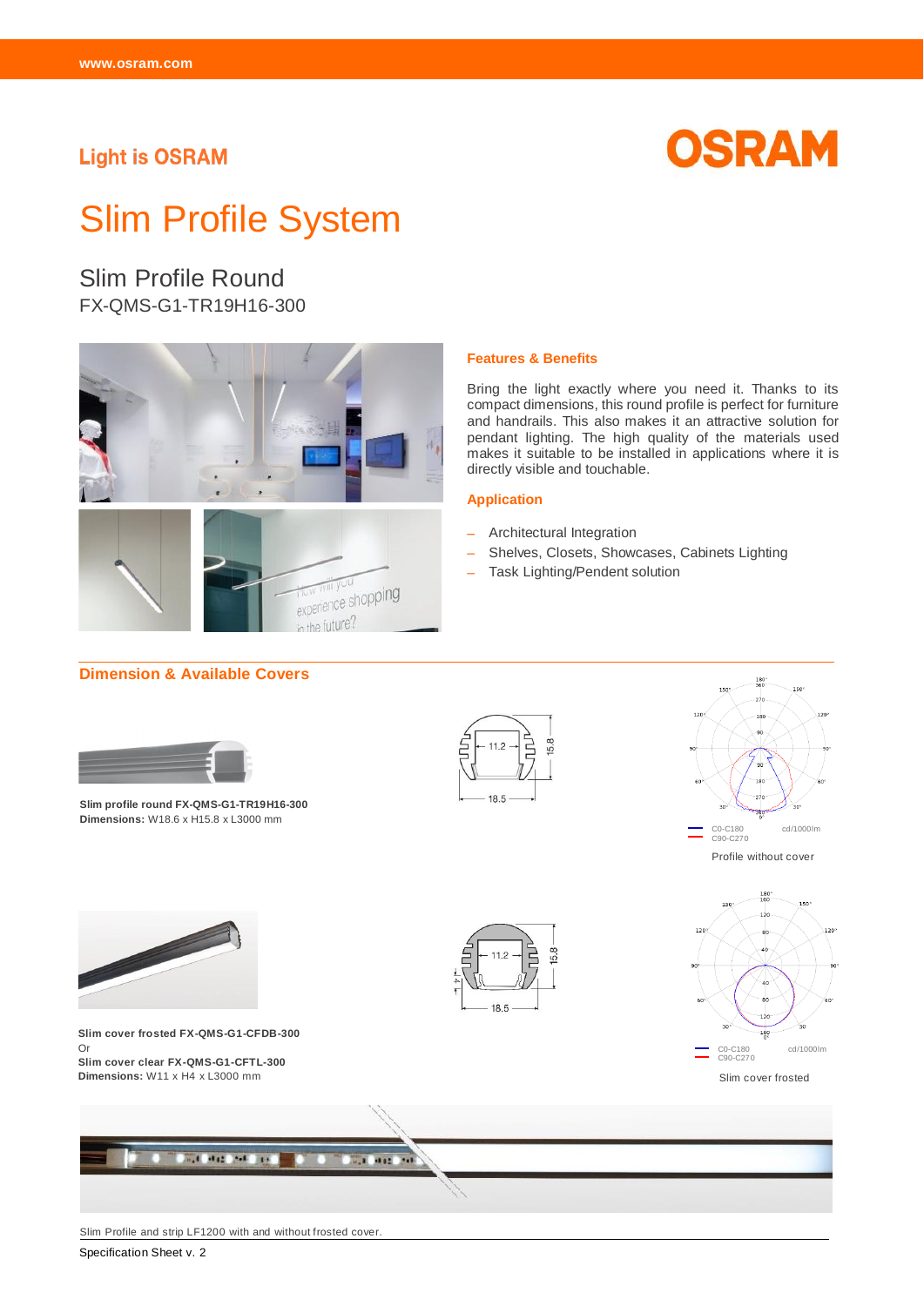# **Light is OSRAM**



# Slim Profile System

# Slim Profile Round FX-QMS-G1-TR19H16-300



#### **Features & Benefits**

Bring the light exactly where you need it. Thanks to its compact dimensions, this round profile is perfect for furniture and handrails. This also makes it an attractive solution for pendant lighting. The high quality of the materials used makes it suitable to be installed in applications where it is directly visible and touchable.

#### **Application**

- Architectural Integration
- Shelves, Closets, Showcases, Cabinets Lighting
- Task Lighting/Pendent solution



Slim Profile and strip LF1200 with and without frosted cover.

Specification Sheet v. 2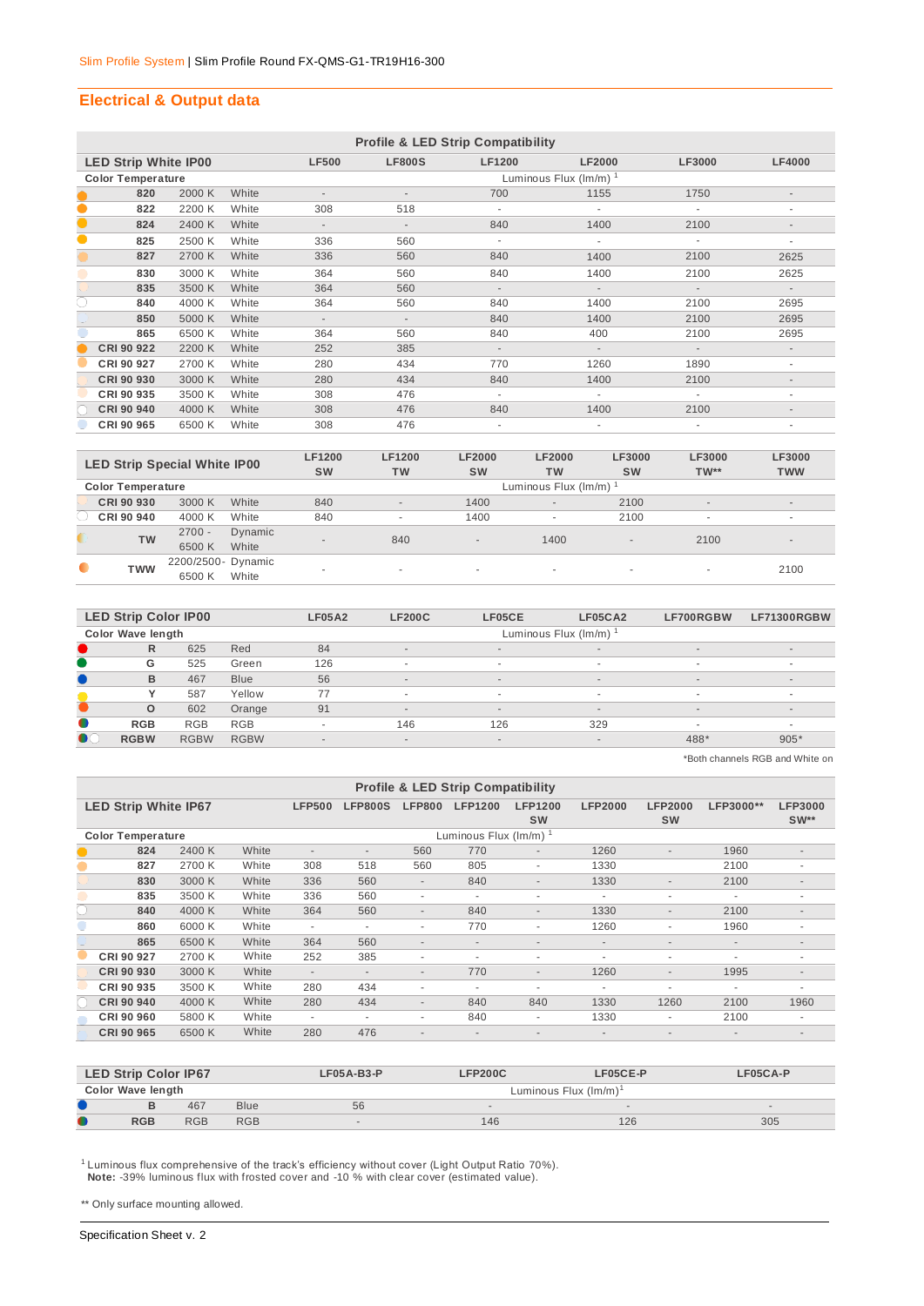## **Electrical & Output data**

|           | <b>Profile &amp; LED Strip Compatibility</b> |        |       |                          |                          |                          |                                    |                          |                          |  |  |  |
|-----------|----------------------------------------------|--------|-------|--------------------------|--------------------------|--------------------------|------------------------------------|--------------------------|--------------------------|--|--|--|
|           | <b>LED Strip White IP00</b>                  |        |       | <b>LF500</b>             | <b>LF800S</b>            | <b>LF1200</b>            | <b>LF2000</b>                      | <b>LF3000</b>            | <b>LF4000</b>            |  |  |  |
|           | <b>Color Temperature</b>                     |        |       |                          |                          |                          | Luminous Flux $(\text{Im/m})^{-1}$ |                          |                          |  |  |  |
|           | 820                                          | 2000 K | White | $\overline{\phantom{a}}$ | $\overline{\phantom{a}}$ | 700                      | 1155                               | 1750                     | $\overline{\phantom{a}}$ |  |  |  |
| $\bullet$ | 822                                          | 2200 K | White | 308                      | 518                      | ÷.                       | ×                                  |                          | $\overline{\phantom{a}}$ |  |  |  |
|           | 824                                          | 2400 K | White | $\sim$                   | $\overline{\phantom{a}}$ | 840                      | 1400                               | 2100                     | $\overline{\phantom{a}}$ |  |  |  |
| 0         | 825                                          | 2500 K | White | 336                      | 560                      | ÷.                       |                                    |                          | ٠                        |  |  |  |
|           | 827                                          | 2700 K | White | 336                      | 560                      | 840                      | 1400                               | 2100                     | 2625                     |  |  |  |
|           | 830                                          | 3000 K | White | 364                      | 560                      | 840                      | 1400                               | 2100                     | 2625                     |  |  |  |
|           | 835                                          | 3500 K | White | 364                      | 560                      | $\sim$                   | $\sim$                             |                          | $\overline{\phantom{a}}$ |  |  |  |
| C         | 840                                          | 4000 K | White | 364                      | 560                      | 840                      | 1400                               | 2100                     | 2695                     |  |  |  |
|           | 850                                          | 5000 K | White | $\sim$                   | $\overline{\phantom{a}}$ | 840                      | 1400                               | 2100                     | 2695                     |  |  |  |
|           | 865                                          | 6500 K | White | 364                      | 560                      | 840                      | 400                                | 2100                     | 2695                     |  |  |  |
|           | CRI 90 922                                   | 2200 K | White | 252                      | 385                      | $\sim$                   | $\sim$                             | $\sim$                   | $\overline{\phantom{a}}$ |  |  |  |
|           | CRI 90 927                                   | 2700 K | White | 280                      | 434                      | 770                      | 1260                               | 1890                     | ۰                        |  |  |  |
|           | CRI 90 930                                   | 3000 K | White | 280                      | 434                      | 840                      | 1400                               | 2100                     | $\overline{\phantom{a}}$ |  |  |  |
|           | CRI 90 935                                   | 3500 K | White | 308                      | 476                      | $\overline{\phantom{a}}$ |                                    |                          | ٠                        |  |  |  |
|           | CRI 90 940                                   | 4000 K | White | 308                      | 476                      | 840                      | 1400                               | 2100                     | $\overline{\phantom{a}}$ |  |  |  |
|           | CRI 90 965                                   | 6500 K | White | 308                      | 476                      | ÷.                       | $\overline{\phantom{a}}$           | $\overline{\phantom{a}}$ | ٠                        |  |  |  |

| <b>LED Strip Special White IP00</b> |                          |                    | <b>LF1200</b> | <b>LF1200</b> | <b>LF2000</b>        | <b>LF2000</b>            | <b>LF3000</b>            | LF3000                   | <b>LF3000</b>            |                          |  |  |  |
|-------------------------------------|--------------------------|--------------------|---------------|---------------|----------------------|--------------------------|--------------------------|--------------------------|--------------------------|--------------------------|--|--|--|
|                                     |                          |                    |               | <b>SW</b>     | <b>TW</b>            | <b>SW</b>                | <b>TW</b>                | <b>SW</b>                | $TW**$                   | <b>TWW</b>               |  |  |  |
|                                     | <b>Color Temperature</b> |                    |               |               | Luminous Flux (Im/m) |                          |                          |                          |                          |                          |  |  |  |
|                                     | CRI 90 930               | 3000 K             | White         | 840           | $\sim$               | 1400                     | $\overline{\phantom{a}}$ | 2100                     | $\overline{\phantom{a}}$ | $\sim$                   |  |  |  |
|                                     | CRI 90 940               | 4000 K             | White         | 840           | ۰                    | 1400                     | $\overline{\phantom{a}}$ | 2100                     | $\overline{\phantom{a}}$ | $\overline{\phantom{a}}$ |  |  |  |
|                                     | <b>TW</b>                | $2700 -$           | Dynamic       | $\sim$        | 840                  | $\overline{a}$           | 1400                     | $\overline{\phantom{a}}$ | 2100                     | $\overline{a}$           |  |  |  |
|                                     |                          | 6500K              | White         |               |                      |                          |                          |                          |                          |                          |  |  |  |
| $\bullet$                           | TWW                      | 2200/2500- Dynamic |               | ۰             |                      | $\overline{\phantom{a}}$ | $\overline{\phantom{a}}$ | . .                      |                          | 2100                     |  |  |  |
|                                     |                          | 6500 K             | White         |               |                      |                          |                          |                          | $\sim$                   |                          |  |  |  |

|           | <b>LED Strip Color IP00</b> |             |             | <b>LF05A2</b> | <b>LF200C</b>            | LF05CE | LF05CA2                  | LF700RGBW  | LF71300RGBW              |  |  |  |
|-----------|-----------------------------|-------------|-------------|---------------|--------------------------|--------|--------------------------|------------|--------------------------|--|--|--|
|           | Color Wave length           |             |             |               | Luminous Flux (Im/m)     |        |                          |            |                          |  |  |  |
|           | R                           | 625         | Red         | 84            | $\overline{\phantom{a}}$ | $\sim$ | $\sim$                   | $\sim$     | $\overline{a}$           |  |  |  |
|           | G                           | 525         | Green       | 126           | ۰                        | ٠.     | $\sim$                   | $\sim$     |                          |  |  |  |
|           | B                           | 467         | <b>Blue</b> | 56            | $\overline{\phantom{a}}$ | $\sim$ | $\sim$                   | $\sim$     | $\sim$                   |  |  |  |
|           |                             | 587         | Yellow      | 77            | ۰                        | . .    | $\sim$                   | <b>100</b> | $\sim$                   |  |  |  |
|           | $\circ$                     | 602         | Orange      | 91            | $\overline{\phantom{a}}$ | $\sim$ | $\sim$                   | $\sim$     | $\sim$                   |  |  |  |
| $\bullet$ | <b>RGB</b>                  | <b>RGB</b>  | <b>RGB</b>  |               | 146                      | 126    | 329                      |            | $\overline{\phantom{a}}$ |  |  |  |
| $\bullet$ | <b>RGBW</b>                 | <b>RGBW</b> | <b>RGBW</b> | $\sim$        | $\overline{\phantom{a}}$ | $\sim$ | $\overline{\phantom{a}}$ | 488*       | $905*$                   |  |  |  |

\*Both channels RGB and White on

|                          | <b>Profile &amp; LED Strip Compatibility</b> |        |       |                          |                          |                          |                             |                             |                          |                             |                          |                          |
|--------------------------|----------------------------------------------|--------|-------|--------------------------|--------------------------|--------------------------|-----------------------------|-----------------------------|--------------------------|-----------------------------|--------------------------|--------------------------|
|                          | <b>LED Strip White IP67</b>                  |        |       | <b>LFP500</b>            | <b>LFP800S</b>           | <b>LFP800</b>            | <b>LFP1200</b>              | <b>LFP1200</b><br><b>SW</b> | <b>LFP2000</b>           | <b>LFP2000</b><br><b>SW</b> | LFP3000**                | <b>LFP3000</b><br>$SW**$ |
| <b>Color Temperature</b> |                                              |        |       |                          |                          |                          | Luminous Flux $(lm/m)^{-1}$ |                             |                          |                             |                          |                          |
|                          | 824                                          | 2400 K | White | $\overline{a}$           | $\overline{\phantom{a}}$ | 560                      | 770                         | $\overline{\phantom{a}}$    | 1260                     | $\overline{\phantom{a}}$    | 1960                     | $\sim$                   |
|                          | 827                                          | 2700 K | White | 308                      | 518                      | 560                      | 805                         | ٠                           | 1330                     |                             | 2100                     | ٠                        |
|                          | 830                                          | 3000 K | White | 336                      | 560                      | $\overline{\phantom{a}}$ | 840                         | $\overline{\phantom{a}}$    | 1330                     | $\overline{\phantom{a}}$    | 2100                     | $\overline{\phantom{a}}$ |
|                          | 835                                          | 3500 K | White | 336                      | 560                      | $\sim$                   | $\overline{\phantom{a}}$    | ٠                           | ٠                        | ٠                           | ٠                        | ٠                        |
|                          | 840                                          | 4000 K | White | 364                      | 560                      | $\overline{\phantom{a}}$ | 840                         | $\overline{a}$              | 1330                     | $\sim$                      | 2100                     | $\sim$                   |
|                          | 860                                          | 6000 K | White | $\sim$                   | $\overline{\phantom{a}}$ | ٠                        | 770                         | ۰                           | 1260                     | ٠                           | 1960                     |                          |
|                          | 865                                          | 6500 K | White | 364                      | 560                      | $\overline{\phantom{a}}$ | $\overline{\phantom{a}}$    | $\overline{a}$              | $\overline{\phantom{a}}$ | ٠                           | $\overline{\phantom{a}}$ | $\sim$                   |
|                          | CRI 90 927                                   | 2700 K | White | 252                      | 385                      | ۰                        | $\overline{\phantom{a}}$    | ٠                           | ۰                        | ۰                           | ٠.                       | ۰                        |
|                          | CRI 90 930                                   | 3000 K | White | $\overline{\phantom{a}}$ | $\overline{\phantom{a}}$ | $\overline{\phantom{a}}$ | 770                         | $\overline{\phantom{a}}$    | 1260                     | $\overline{\phantom{a}}$    | 1995                     | $\overline{\phantom{a}}$ |
|                          | CRI 90 935                                   | 3500 K | White | 280                      | 434                      | ۰                        | $\overline{\phantom{a}}$    | $\blacksquare$              | ٠                        | ٠                           | ٠                        | ۰                        |
|                          | CRI 90 940                                   | 4000 K | White | 280                      | 434                      | $\overline{\phantom{a}}$ | 840                         | 840                         | 1330                     | 1260                        | 2100                     | 1960                     |
|                          | <b>CRI 90 960</b>                            | 5800 K | White | $\overline{\phantom{a}}$ | $\overline{\phantom{a}}$ | ٠                        | 840                         | $\blacksquare$              | 1330                     | ٠                           | 2100                     | $\overline{\phantom{a}}$ |
|                          | <b>CRI 90 965</b>                            | 6500 K | White | 280                      | 476                      | ٠                        |                             | $\overline{a}$              |                          | $\overline{\phantom{a}}$    |                          | $\overline{\phantom{a}}$ |

|           | <b>LED Strip Color IP67</b> |            |             | $LFO5A-B3-P$ | LF05CA-P                          |        |     |  |  |  |  |
|-----------|-----------------------------|------------|-------------|--------------|-----------------------------------|--------|-----|--|--|--|--|
|           | Color Wave length           |            |             |              | Luminous Flux (lm/m) <sup>1</sup> |        |     |  |  |  |  |
|           |                             | 467        | <b>Blue</b> | 56           |                                   | $\sim$ |     |  |  |  |  |
| $\bullet$ | <b>RGB</b>                  | <b>RGB</b> | <b>RGB</b>  |              | 146                               | 126    | 305 |  |  |  |  |

<sup>1</sup> Luminous flux comprehensive of the track's efficiency without cover (Light Output Ratio 70%).  **Note:** -39% luminous flux with frosted cover and -10 % with clear cover (estimated value).

\*\* Only surface mounting allowed.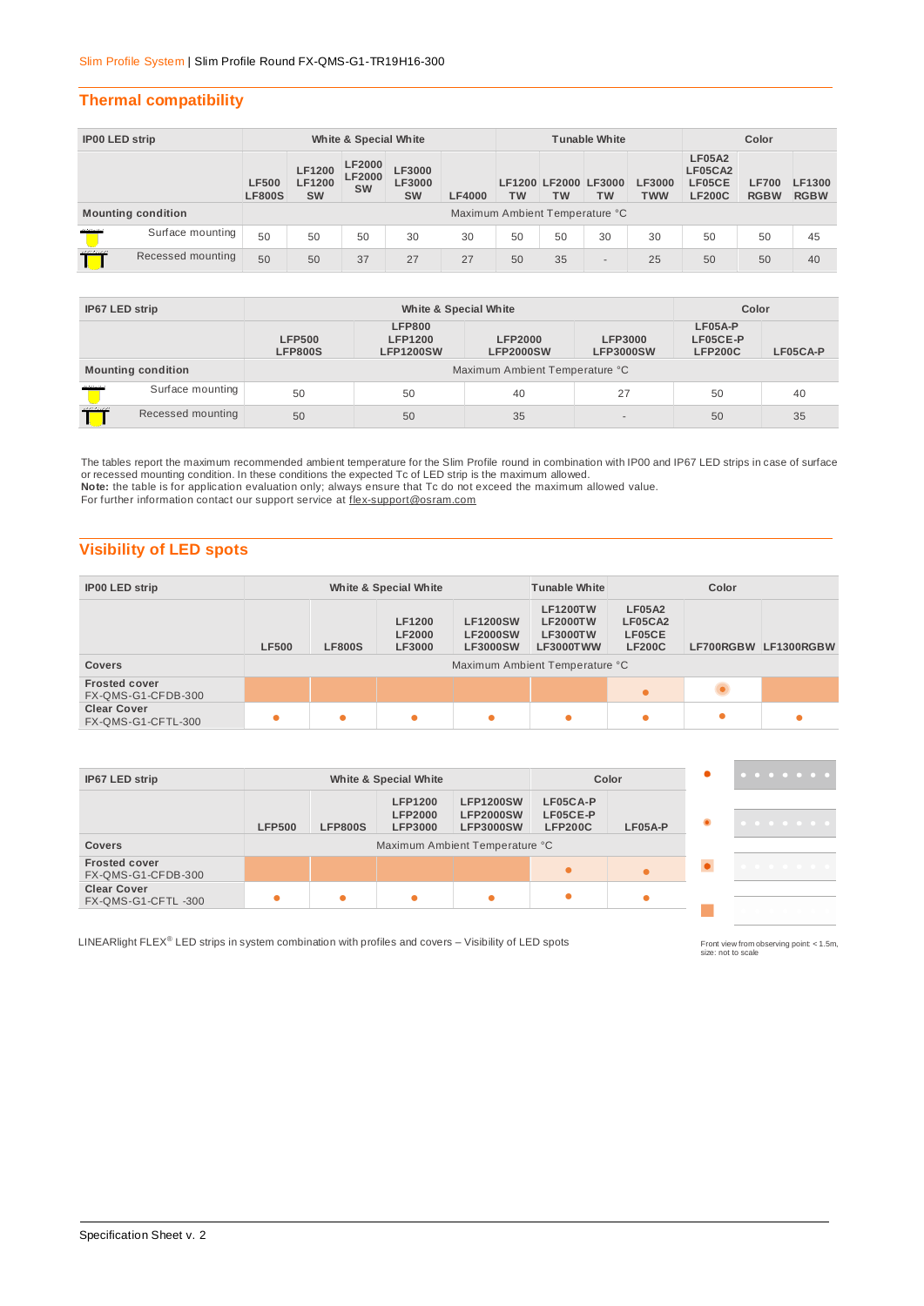## **Thermal compatibility**

| IP00 LED strip |                           | White & Special White         |                                             |                                             |                                      |                                | <b>Tunable White</b> |                            |           |                             | Color                                               |                             |                       |
|----------------|---------------------------|-------------------------------|---------------------------------------------|---------------------------------------------|--------------------------------------|--------------------------------|----------------------|----------------------------|-----------|-----------------------------|-----------------------------------------------------|-----------------------------|-----------------------|
|                |                           | <b>LF500</b><br><b>LF800S</b> | <b>LF1200</b><br><b>LF1200</b><br><b>SW</b> | <b>LF2000</b><br><b>LF2000</b><br><b>SW</b> | LF3000<br><b>LF3000</b><br><b>SW</b> | <b>LF4000</b>                  | TW                   | LF1200 LF2000 LF3000<br>ТW | <b>TW</b> | <b>LF3000</b><br><b>TWW</b> | <b>LF05A2</b><br>LF05CA2<br>LF05CE<br><b>LF200C</b> | <b>LF700</b><br><b>RGBW</b> | LF1300<br><b>RGBW</b> |
|                | <b>Mounting condition</b> |                               |                                             |                                             |                                      | Maximum Ambient Temperature °C |                      |                            |           |                             |                                                     |                             |                       |
| <b>MARINE</b>  | Surface mounting          | 50                            | 50                                          | 50                                          | 30                                   | 30                             | 50                   | 50                         | 30        | 30                          | 50                                                  | 50                          | 45                    |
| mann           | Recessed mounting         | 50                            | 50                                          | 37                                          | 27                                   | 27                             | 50                   | 35                         | $\sim$    | 25                          | 50                                                  | 50                          | 40                    |

| IP67 LED strip                 |                           |                                 | Color                                               |                                    |                             |                                       |          |  |  |  |
|--------------------------------|---------------------------|---------------------------------|-----------------------------------------------------|------------------------------------|-----------------------------|---------------------------------------|----------|--|--|--|
|                                |                           | <b>LFP500</b><br><b>LFP800S</b> | <b>LFP800</b><br><b>LFP1200</b><br><b>LFP1200SW</b> | <b>LFP2000</b><br><b>LFP2000SW</b> | LFP3000<br><b>LFP3000SW</b> | LF05A-P<br>LF05CE-P<br><b>LFP200C</b> | LF05CA-P |  |  |  |
|                                | <b>Mounting condition</b> | Maximum Ambient Temperature °C  |                                                     |                                    |                             |                                       |          |  |  |  |
| <b>MARCHA</b>                  | Surface mounting          | 50                              | 50                                                  | 40                                 | 27                          | 50                                    | 40       |  |  |  |
| 111111111<br>Recessed mounting |                           | 50                              | 50                                                  | 35                                 |                             | 50                                    | 35       |  |  |  |

The tables report the maximum recommended ambient temperature for the Slim Profile round in combination with IP00 and IP67 LED strips in case of surface or recessed mounting condition. In these conditions the expected Tc of LED strip is the maximum allowed. **Note:** the table is for application evaluation only; always ensure that Tc do not exceed the maximum allowed value.

For further information contact our support service at flex-support@osram.com

# **Visibility of LED spots**

| IP00 LED strip                             | White & Special White<br>Color<br><b>Tunable White</b> |               |                                                 |                                                       |                                                                                                             |                                                     |  |                      |
|--------------------------------------------|--------------------------------------------------------|---------------|-------------------------------------------------|-------------------------------------------------------|-------------------------------------------------------------------------------------------------------------|-----------------------------------------------------|--|----------------------|
| <b>Covers</b>                              | <b>LF500</b>                                           | <b>LF800S</b> | <b>LF1200</b><br><b>LF2000</b><br><b>LF3000</b> | <b>LF1200SW</b><br><b>LF2000SW</b><br><b>LF3000SW</b> | <b>LF1200TW</b><br><b>LF2000TW</b><br><b>LF3000TW</b><br><b>LF3000TWW</b><br>Maximum Ambient Temperature °C | <b>LF05A2</b><br>LF05CA2<br>LF05CE<br><b>LF200C</b> |  | LF700RGBW LF1300RGBW |
|                                            |                                                        |               |                                                 |                                                       |                                                                                                             |                                                     |  |                      |
| <b>Frosted cover</b><br>FX-QMS-G1-CFDB-300 |                                                        |               |                                                 |                                                       |                                                                                                             | $\bullet$                                           |  |                      |
| <b>Clear Cover</b><br>FX-QMS-G1-CFTL-300   |                                                        | ٠             | ٠                                               | ٠                                                     |                                                                                                             |                                                     |  |                      |

| IP67 LED strip                             |               |                | White & Special White                              |                                                          |                                        | Color   |
|--------------------------------------------|---------------|----------------|----------------------------------------------------|----------------------------------------------------------|----------------------------------------|---------|
|                                            | <b>LFP500</b> | <b>LFP800S</b> | <b>LFP1200</b><br><b>LFP2000</b><br><b>LFP3000</b> | <b>LFP1200SW</b><br><b>LFP2000SW</b><br><b>LFP3000SW</b> | LF05CA-P<br>LF05CE-P<br><b>LFP200C</b> | LF05A-P |
| <b>Covers</b>                              |               |                |                                                    | Maximum Ambient Temperature °C                           |                                        |         |
| <b>Frosted cover</b><br>FX-QMS-G1-CFDB-300 |               |                |                                                    |                                                          |                                        |         |
| <b>Clear Cover</b><br>FX-QMS-G1-CFTL-300   | $\bullet$     | ●              |                                                    | $\bullet$                                                | $\bullet$                              |         |

LINEARlight FLEX® LED strips in system combination with profiles and covers – Visibility of LED spots

Front view from observing point < 1.5m,<br>size: not to scale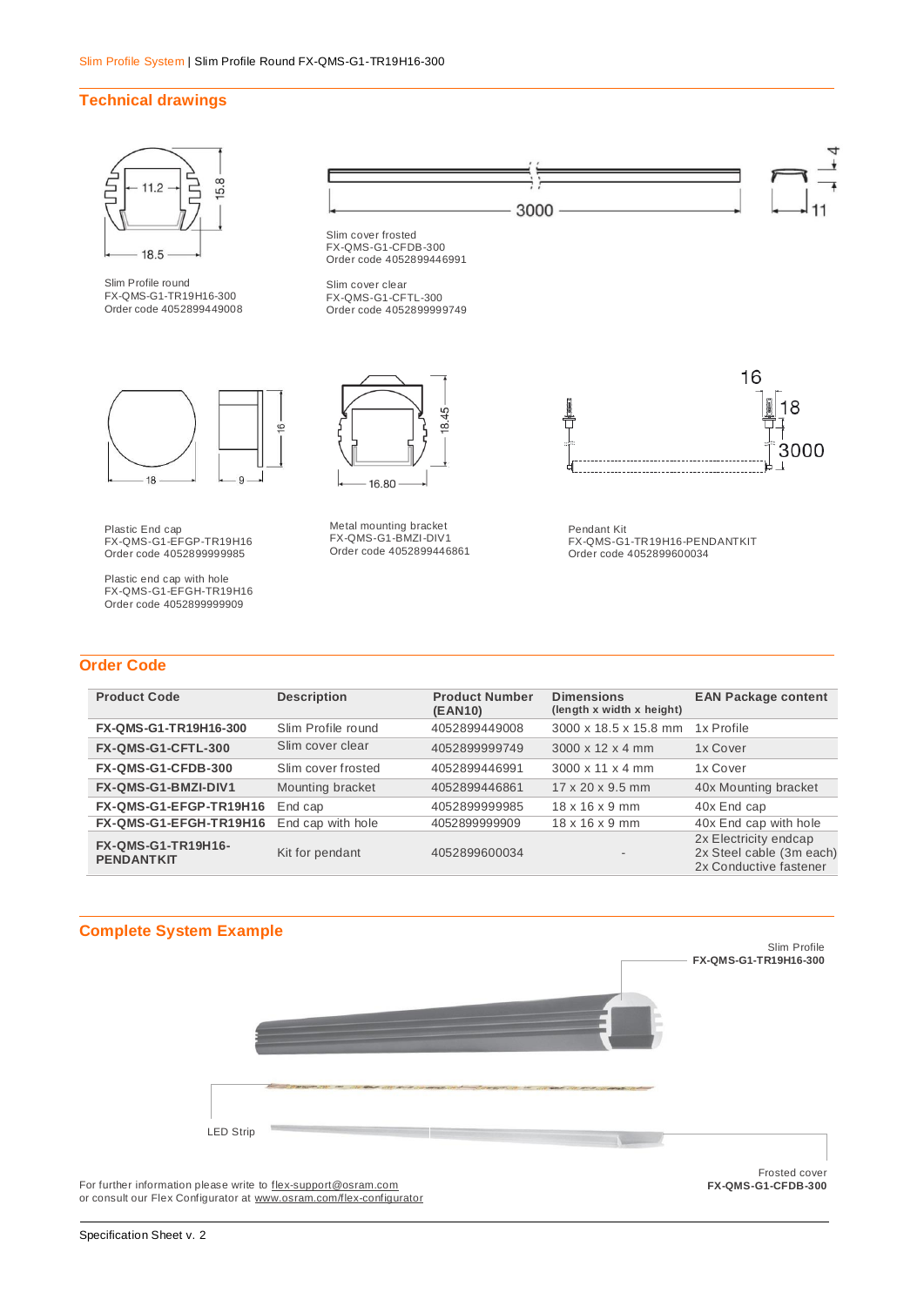### **Technical drawings**



| <b>Product Code</b>                            | <b>Description</b> | <b>Product Number</b><br>(EAN10) | <b>Dimensions</b><br>(length x width x height) | <b>EAN Package content</b>                                                  |
|------------------------------------------------|--------------------|----------------------------------|------------------------------------------------|-----------------------------------------------------------------------------|
| FX-QMS-G1-TR19H16-300                          | Slim Profile round | 4052899449008                    | 3000 x 18.5 x 15.8 mm                          | 1x Profile                                                                  |
| FX-QMS-G1-CFTL-300                             | Slim cover clear   | 4052899999749                    | $3000 \times 12 \times 4$ mm                   | 1x Cover                                                                    |
| FX-QMS-G1-CFDB-300                             | Slim cover frosted | 4052899446991                    | $3000 \times 11 \times 4$ mm                   | 1x Cover                                                                    |
| <b>FX-QMS-G1-BMZI-DIV1</b>                     | Mounting bracket   | 4052899446861                    | $17 \times 20 \times 9.5$ mm                   | 40x Mounting bracket                                                        |
| FX-QMS-G1-EFGP-TR19H16                         | End cap            | 4052899999985                    | $18 \times 16 \times 9$ mm                     | 40x End cap                                                                 |
| FX-QMS-G1-EFGH-TR19H16                         | End cap with hole  | 4052899999909                    | $18 \times 16 \times 9$ mm                     | 40x End cap with hole                                                       |
| <b>FX-QMS-G1-TR19H16-</b><br><b>PENDANTKIT</b> | Kit for pendant    | 4052899600034                    | $\overline{\phantom{a}}$                       | 2x Electricity endcap<br>2x Steel cable (3m each)<br>2x Conductive fastener |



For further information please write to <u>flex-support@osram.com</u><br>or consult our Flex Configurator at <u>www.osram.com/flex-configurator</u>

**FX-QMS-G1-CFDB-300**